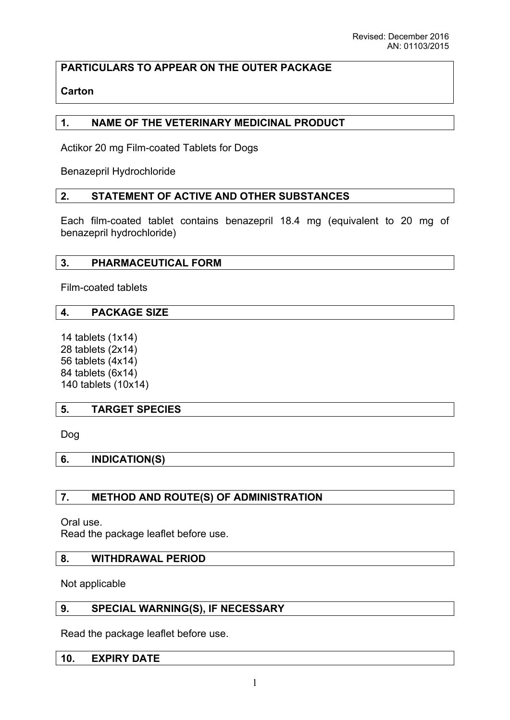# **PARTICULARS TO APPEAR ON THE OUTER PACKAGE**

### **Carton**

### **1. NAME OF THE VETERINARY MEDICINAL PRODUCT**

Actikor 20 mg Film-coated Tablets for Dogs

Benazepril Hydrochloride

### **2. STATEMENT OF ACTIVE AND OTHER SUBSTANCES**

Each film-coated tablet contains benazepril 18.4 mg (equivalent to 20 mg of benazepril hydrochloride)

#### **3. PHARMACEUTICAL FORM**

Film-coated tablets

### **4. PACKAGE SIZE**

14 tablets (1x14) 28 tablets (2x14) 56 tablets (4x14) 84 tablets (6x14) 140 tablets (10x14)

### **5. TARGET SPECIES**

Dog

**6. INDICATION(S)**

### **7. METHOD AND ROUTE(S) OF ADMINISTRATION**

Oral use.

Read the package leaflet before use.

### **8. WITHDRAWAL PERIOD**

Not applicable

#### **9. SPECIAL WARNING(S), IF NECESSARY**

Read the package leaflet before use.

#### **10. EXPIRY DATE**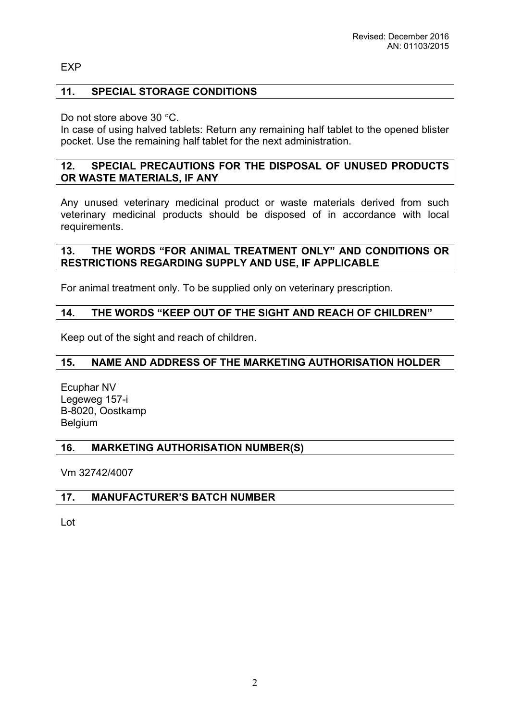#### EXP

#### **11. SPECIAL STORAGE CONDITIONS**

Do not store above  $30^{\circ}$ C.

In case of using halved tablets: Return any remaining half tablet to the opened blister pocket. Use the remaining half tablet for the next administration.

#### **12. SPECIAL PRECAUTIONS FOR THE DISPOSAL OF UNUSED PRODUCTS OR WASTE MATERIALS, IF ANY**

Any unused veterinary medicinal product or waste materials derived from such veterinary medicinal products should be disposed of in accordance with local requirements.

### **13. THE WORDS "FOR ANIMAL TREATMENT ONLY" AND CONDITIONS OR RESTRICTIONS REGARDING SUPPLY AND USE, IF APPLICABLE**

For animal treatment only. To be supplied only on veterinary prescription.

#### **14. THE WORDS "KEEP OUT OF THE SIGHT AND REACH OF CHILDREN"**

Keep out of the sight and reach of children.

#### **15. NAME AND ADDRESS OF THE MARKETING AUTHORISATION HOLDER**

Ecuphar NV Legeweg 157-i B-8020, Oostkamp Belgium

#### **16. MARKETING AUTHORISATION NUMBER(S)**

Vm 32742/4007

#### **17. MANUFACTURER'S BATCH NUMBER**

Lot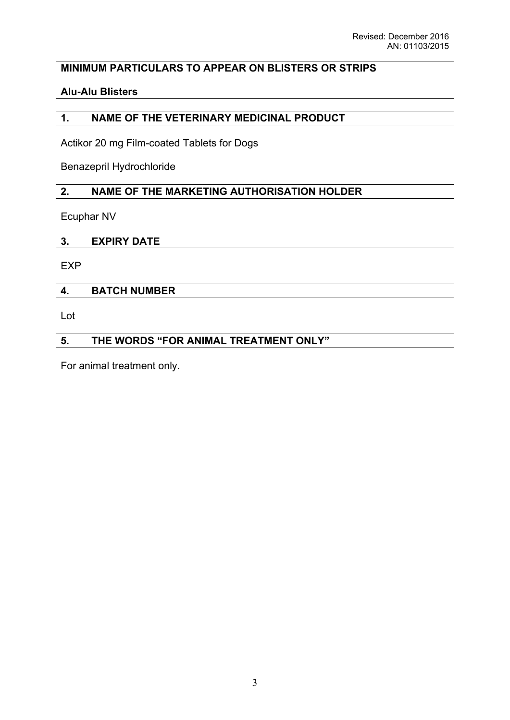# **MINIMUM PARTICULARS TO APPEAR ON BLISTERS OR STRIPS**

### **Alu-Alu Blisters**

### **1. NAME OF THE VETERINARY MEDICINAL PRODUCT**

Actikor 20 mg Film-coated Tablets for Dogs

Benazepril Hydrochloride

### **2. NAME OF THE MARKETING AUTHORISATION HOLDER**

Ecuphar NV

| . . | --<br> |  |  |
|-----|--------|--|--|

EXP

### **4. BATCH NUMBER**

Lot

# **5. THE WORDS "FOR ANIMAL TREATMENT ONLY"**

For animal treatment only.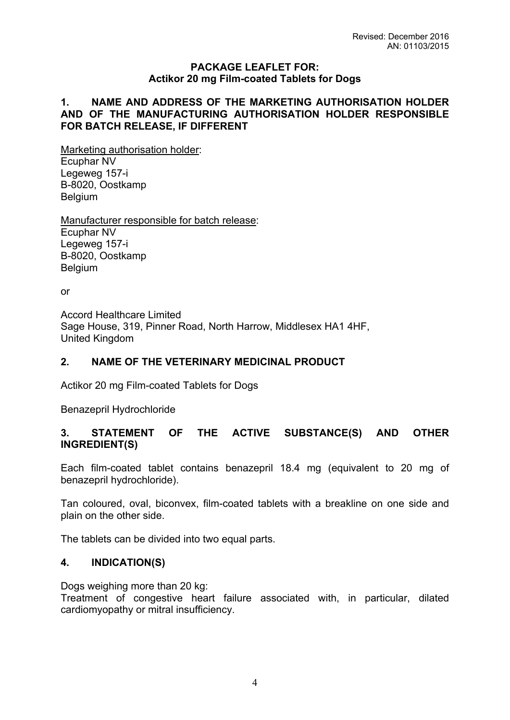#### **PACKAGE LEAFLET FOR: Actikor 20 mg Film-coated Tablets for Dogs**

#### **1. NAME AND ADDRESS OF THE MARKETING AUTHORISATION HOLDER AND OF THE MANUFACTURING AUTHORISATION HOLDER RESPONSIBLE FOR BATCH RELEASE, IF DIFFERENT**

Marketing authorisation holder: Ecuphar NV Legeweg 157-i B-8020, Oostkamp Belgium

Manufacturer responsible for batch release: Ecuphar NV Legeweg 157-i B-8020, Oostkamp Belgium

or

Accord Healthcare Limited Sage House, 319, Pinner Road, North Harrow, Middlesex HA1 4HF, United Kingdom

### **2. NAME OF THE VETERINARY MEDICINAL PRODUCT**

Actikor 20 mg Film-coated Tablets for Dogs

Benazepril Hydrochloride

### **3. STATEMENT OF THE ACTIVE SUBSTANCE(S) AND OTHER INGREDIENT(S)**

Each film-coated tablet contains benazepril 18.4 mg (equivalent to 20 mg of benazepril hydrochloride).

Tan coloured, oval, biconvex, film-coated tablets with a breakline on one side and plain on the other side.

The tablets can be divided into two equal parts.

#### **4. INDICATION(S)**

Dogs weighing more than 20 kg:

Treatment of congestive heart failure associated with, in particular, dilated cardiomyopathy or mitral insufficiency.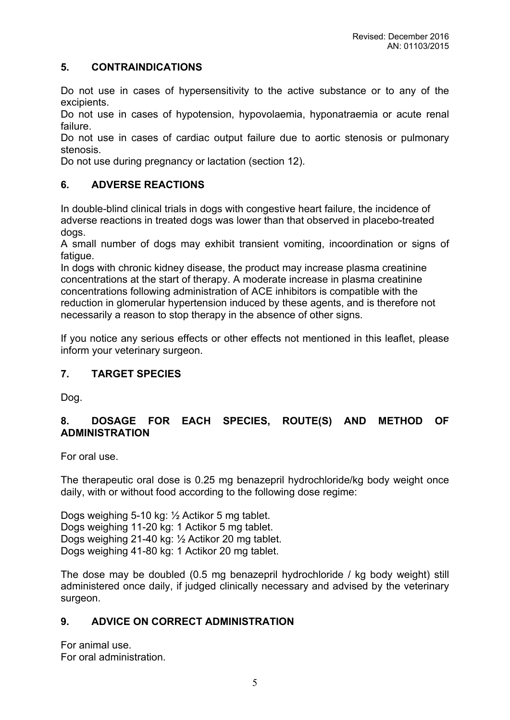### **5. CONTRAINDICATIONS**

Do not use in cases of hypersensitivity to the active substance or to any of the excipients.

Do not use in cases of hypotension, hypovolaemia, hyponatraemia or acute renal failure.

Do not use in cases of cardiac output failure due to aortic stenosis or pulmonary stenosis.

Do not use during pregnancy or lactation (section 12).

### **6. ADVERSE REACTIONS**

In double-blind clinical trials in dogs with congestive heart failure, the incidence of adverse reactions in treated dogs was lower than that observed in placebo-treated dogs.

A small number of dogs may exhibit transient vomiting, incoordination or signs of fatigue.

In dogs with chronic kidney disease, the product may increase plasma creatinine concentrations at the start of therapy. A moderate increase in plasma creatinine concentrations following administration of ACE inhibitors is compatible with the reduction in glomerular hypertension induced by these agents, and is therefore not necessarily a reason to stop therapy in the absence of other signs.

If you notice any serious effects or other effects not mentioned in this leaflet, please inform your veterinary surgeon.

### **7. TARGET SPECIES**

Dog.

# **8. DOSAGE FOR EACH SPECIES, ROUTE(S) AND METHOD OF ADMINISTRATION**

For oral use.

The therapeutic oral dose is 0.25 mg benazepril hydrochloride/kg body weight once daily, with or without food according to the following dose regime:

Dogs weighing 5-10 kg: ½ Actikor 5 mg tablet. Dogs weighing 11-20 kg: 1 Actikor 5 mg tablet. Dogs weighing 21-40 kg: ½ Actikor 20 mg tablet. Dogs weighing 41-80 kg: 1 Actikor 20 mg tablet.

The dose may be doubled (0.5 mg benazepril hydrochloride / kg body weight) still administered once daily, if judged clinically necessary and advised by the veterinary surgeon.

# **9. ADVICE ON CORRECT ADMINISTRATION**

For animal use. For oral administration.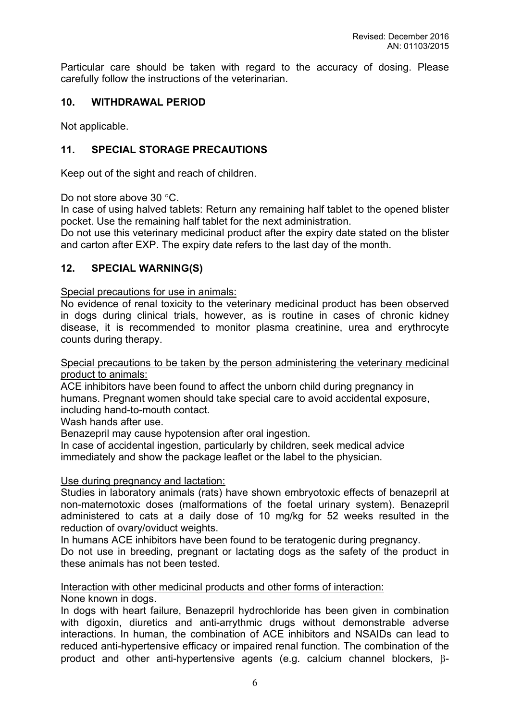Particular care should be taken with regard to the accuracy of dosing. Please carefully follow the instructions of the veterinarian.

### **10. WITHDRAWAL PERIOD**

Not applicable.

### **11. SPECIAL STORAGE PRECAUTIONS**

Keep out of the sight and reach of children.

Do not store above  $30^{\circ}$ C.

In case of using halved tablets: Return any remaining half tablet to the opened blister pocket. Use the remaining half tablet for the next administration.

Do not use this veterinary medicinal product after the expiry date stated on the blister and carton after EXP. The expiry date refers to the last day of the month.

#### **12. SPECIAL WARNING(S)**

Special precautions for use in animals:

No evidence of renal toxicity to the veterinary medicinal product has been observed in dogs during clinical trials, however, as is routine in cases of chronic kidney disease, it is recommended to monitor plasma creatinine, urea and erythrocyte counts during therapy.

Special precautions to be taken by the person administering the veterinary medicinal product to animals:

ACE inhibitors have been found to affect the unborn child during pregnancy in humans. Pregnant women should take special care to avoid accidental exposure, including hand-to-mouth contact.

Wash hands after use.

Benazepril may cause hypotension after oral ingestion.

In case of accidental ingestion, particularly by children, seek medical advice immediately and show the package leaflet or the label to the physician.

#### Use during pregnancy and lactation:

Studies in laboratory animals (rats) have shown embryotoxic effects of benazepril at non-maternotoxic doses (malformations of the foetal urinary system). Benazepril administered to cats at a daily dose of 10 mg/kg for 52 weeks resulted in the reduction of ovary/oviduct weights.

In humans ACE inhibitors have been found to be teratogenic during pregnancy.

Do not use in breeding, pregnant or lactating dogs as the safety of the product in these animals has not been tested.

Interaction with other medicinal products and other forms of interaction:

None known in dogs.

In dogs with heart failure, Benazepril hydrochloride has been given in combination with digoxin, diuretics and anti-arrythmic drugs without demonstrable adverse interactions. In human, the combination of ACE inhibitors and NSAIDs can lead to reduced anti-hypertensive efficacy or impaired renal function. The combination of the product and other anti-hypertensive agents (e.g. calcium channel blockers,  $\beta$ -